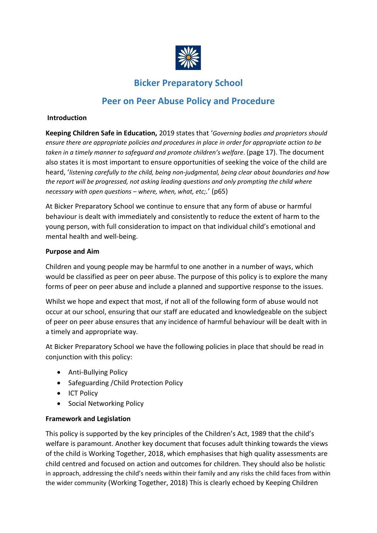

# **Bicker Preparatory School**

# **Peer on Peer Abuse Policy and Procedure**

#### **Introduction**

**Keeping Children Safe in Education,** 2019 states that '*Governing bodies and proprietors should ensure there are appropriate policies and procedures in place in order for appropriate action to be taken in a timely manner to safeguard and promote children's welfare*. (page 17). The document also states it is most important to ensure opportunities of seeking the voice of the child are heard, '*listening carefully to the child, being non-judgmental, being clear about boundaries and how the report will be progressed, not asking leading questions and only prompting the child where necessary with open questions – where, when, what, etc;.*' (p65)

At Bicker Preparatory School we continue to ensure that any form of abuse or harmful behaviour is dealt with immediately and consistently to reduce the extent of harm to the young person, with full consideration to impact on that individual child's emotional and mental health and well-being.

#### **Purpose and Aim**

Children and young people may be harmful to one another in a number of ways, which would be classified as peer on peer abuse. The purpose of this policy is to explore the many forms of peer on peer abuse and include a planned and supportive response to the issues.

Whilst we hope and expect that most, if not all of the following form of abuse would not occur at our school, ensuring that our staff are educated and knowledgeable on the subject of peer on peer abuse ensures that any incidence of harmful behaviour will be dealt with in a timely and appropriate way.

At Bicker Preparatory School we have the following policies in place that should be read in conjunction with this policy:

- Anti-Bullying Policy
- Safeguarding /Child Protection Policy
- ICT Policy
- Social Networking Policy

## **Framework and Legislation**

This policy is supported by the key principles of the Children's Act, 1989 that the child's welfare is paramount. Another key document that focuses adult thinking towards the views of the child is Working Together, 2018, which emphasises that high quality assessments are child centred and focused on action and outcomes for children. They should also be holistic in approach, addressing the child's needs within their family and any risks the child faces from within the wider community (Working Together, 2018) This is clearly echoed by Keeping Children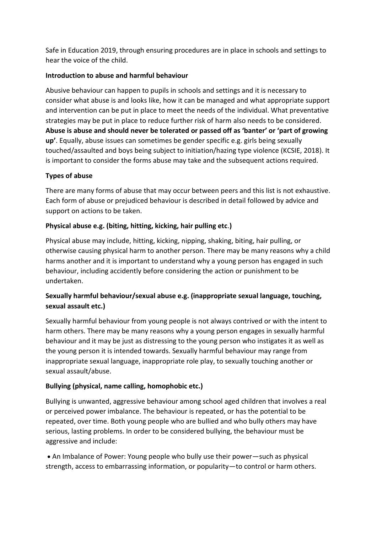Safe in Education 2019, through ensuring procedures are in place in schools and settings to hear the voice of the child.

## **Introduction to abuse and harmful behaviour**

Abusive behaviour can happen to pupils in schools and settings and it is necessary to consider what abuse is and looks like, how it can be managed and what appropriate support and intervention can be put in place to meet the needs of the individual. What preventative strategies may be put in place to reduce further risk of harm also needs to be considered. **Abuse is abuse and should never be tolerated or passed off as 'banter' or 'part of growing up'**. Equally, abuse issues can sometimes be gender specific e.g. girls being sexually touched/assaulted and boys being subject to initiation/hazing type violence (KCSIE, 2018). It is important to consider the forms abuse may take and the subsequent actions required.

# **Types of abuse**

There are many forms of abuse that may occur between peers and this list is not exhaustive. Each form of abuse or prejudiced behaviour is described in detail followed by advice and support on actions to be taken.

# **Physical abuse e.g. (biting, hitting, kicking, hair pulling etc**.**)**

Physical abuse may include, hitting, kicking, nipping, shaking, biting, hair pulling, or otherwise causing physical harm to another person. There may be many reasons why a child harms another and it is important to understand why a young person has engaged in such behaviour, including accidently before considering the action or punishment to be undertaken.

# **Sexually harmful behaviour/sexual abuse e.g. (inappropriate sexual language, touching, sexual assault etc.)**

Sexually harmful behaviour from young people is not always contrived or with the intent to harm others. There may be many reasons why a young person engages in sexually harmful behaviour and it may be just as distressing to the young person who instigates it as well as the young person it is intended towards. Sexually harmful behaviour may range from inappropriate sexual language, inappropriate role play, to sexually touching another or sexual assault/abuse.

# **Bullying (physical, name calling, homophobic etc.)**

Bullying is unwanted, aggressive behaviour among school aged children that involves a real or perceived power imbalance. The behaviour is repeated, or has the potential to be repeated, over time. Both young people who are bullied and who bully others may have serious, lasting problems. In order to be considered bullying, the behaviour must be aggressive and include:

• An Imbalance of Power: Young people who bully use their power—such as physical strength, access to embarrassing information, or popularity—to control or harm others.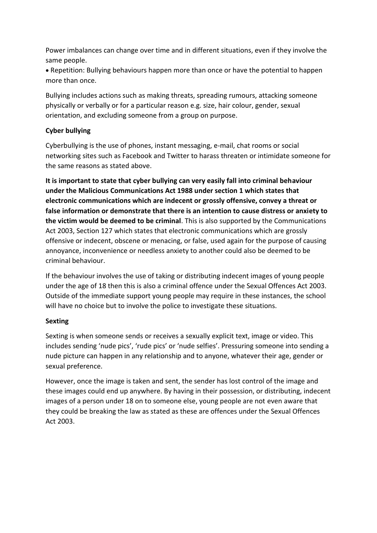Power imbalances can change over time and in different situations, even if they involve the same people.

• Repetition: Bullying behaviours happen more than once or have the potential to happen more than once.

Bullying includes actions such as making threats, spreading rumours, attacking someone physically or verbally or for a particular reason e.g. size, hair colour, gender, sexual orientation, and excluding someone from a group on purpose.

# **Cyber bullying**

Cyberbullying is the use of phones, instant messaging, e-mail, chat rooms or social networking sites such as Facebook and Twitter to harass threaten or intimidate someone for the same reasons as stated above.

**It is important to state that cyber bullying can very easily fall into criminal behaviour under the Malicious Communications Act 1988 under section 1 which states that electronic communications which are indecent or grossly offensive, convey a threat or false information or demonstrate that there is an intention to cause distress or anxiety to the victim would be deemed to be criminal**. This is also supported by the Communications Act 2003, Section 127 which states that electronic communications which are grossly offensive or indecent, obscene or menacing, or false, used again for the purpose of causing annoyance, inconvenience or needless anxiety to another could also be deemed to be criminal behaviour.

If the behaviour involves the use of taking or distributing indecent images of young people under the age of 18 then this is also a criminal offence under the Sexual Offences Act 2003. Outside of the immediate support young people may require in these instances, the school will have no choice but to involve the police to investigate these situations.

## **Sexting**

Sexting is when someone sends or receives a sexually explicit text, image or video. This includes sending 'nude pics', 'rude pics' or 'nude selfies'. Pressuring someone into sending a nude picture can happen in any relationship and to anyone, whatever their age, gender or sexual preference.

However, once the image is taken and sent, the sender has lost control of the image and these images could end up anywhere. By having in their possession, or distributing, indecent images of a person under 18 on to someone else, young people are not even aware that they could be breaking the law as stated as these are offences under the Sexual Offences Act 2003.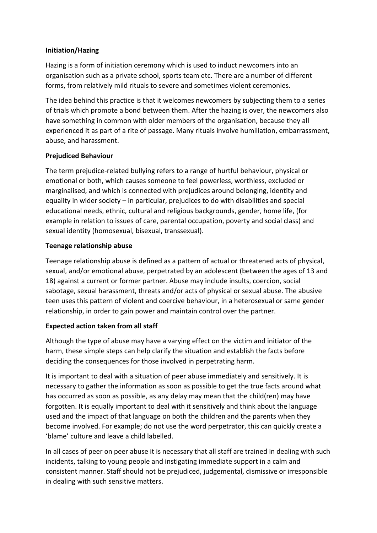## **Initiation/Hazing**

Hazing is a form of initiation ceremony which is used to induct newcomers into an organisation such as a private school, sports team etc. There are a number of different forms, from relatively mild rituals to severe and sometimes violent ceremonies.

The idea behind this practice is that it welcomes newcomers by subjecting them to a series of trials which promote a bond between them. After the hazing is over, the newcomers also have something in common with older members of the organisation, because they all experienced it as part of a rite of passage. Many rituals involve humiliation, embarrassment, abuse, and harassment.

# **Prejudiced Behaviour**

The term prejudice-related bullying refers to a range of hurtful behaviour, physical or emotional or both, which causes someone to feel powerless, worthless, excluded or marginalised, and which is connected with prejudices around belonging, identity and equality in wider society – in particular, prejudices to do with disabilities and special educational needs, ethnic, cultural and religious backgrounds, gender, home life, (for example in relation to issues of care, parental occupation, poverty and social class) and sexual identity (homosexual, bisexual, transsexual).

# **Teenage relationship abuse**

Teenage relationship abuse is defined as a pattern of actual or threatened acts of physical, sexual, and/or emotional abuse, perpetrated by an adolescent (between the ages of 13 and 18) against a current or former partner. Abuse may include insults, coercion, social sabotage, sexual harassment, threats and/or acts of physical or sexual abuse. The abusive teen uses this pattern of violent and coercive behaviour, in a heterosexual or same gender relationship, in order to gain power and maintain control over the partner.

# **Expected action taken from all staff**

Although the type of abuse may have a varying effect on the victim and initiator of the harm, these simple steps can help clarify the situation and establish the facts before deciding the consequences for those involved in perpetrating harm.

It is important to deal with a situation of peer abuse immediately and sensitively. It is necessary to gather the information as soon as possible to get the true facts around what has occurred as soon as possible, as any delay may mean that the child(ren) may have forgotten. It is equally important to deal with it sensitively and think about the language used and the impact of that language on both the children and the parents when they become involved. For example; do not use the word perpetrator, this can quickly create a 'blame' culture and leave a child labelled.

In all cases of peer on peer abuse it is necessary that all staff are trained in dealing with such incidents, talking to young people and instigating immediate support in a calm and consistent manner. Staff should not be prejudiced, judgemental, dismissive or irresponsible in dealing with such sensitive matters.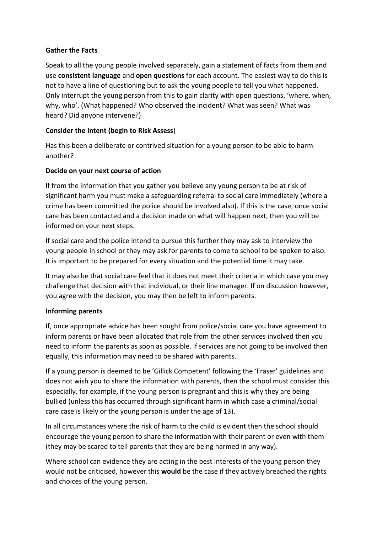## **Gather the Facts**

Speak to all the young people involved separately, gain a statement of facts from them and use **consistent language** and **open questions** for each account. The easiest way to do this is not to have a line of questioning but to ask the young people to tell you what happened. Only interrupt the young person from this to gain clarity with open questions, 'where, when, why, who'. (What happened? Who observed the incident? What was seen? What was heard? Did anyone intervene?)

# **Consider the Intent (begin to Risk Assess**)

Has this been a deliberate or contrived situation for a young person to be able to harm another?

# **Decide on your next course of action**

If from the information that you gather you believe any young person to be at risk of significant harm you must make a safeguarding referral to social care immediately (where a crime has been committed the police should be involved also). If this is the case, once social care has been contacted and a decision made on what will happen next, then you will be informed on your next steps.

If social care and the police intend to pursue this further they may ask to interview the young people in school or they may ask for parents to come to school to be spoken to also. It is important to be prepared for every situation and the potential time it may take.

It may also be that social care feel that it does not meet their criteria in which case you may challenge that decision with that individual, or their line manager. If on discussion however, you agree with the decision, you may then be left to inform parents.

# **Informing parents**

If, once appropriate advice has been sought from police/social care you have agreement to inform parents or have been allocated that role from the other services involved then you need to inform the parents as soon as possible. If services are not going to be involved then equally, this information may need to be shared with parents.

If a young person is deemed to be 'Gillick Competent' following the 'Fraser' guidelines and does not wish you to share the information with parents, then the school must consider this especially, for example, if the young person is pregnant and this is why they are being bullied (unless this has occurred through significant harm in which case a criminal/social care case is likely or the young person is under the age of 13).

In all circumstances where the risk of harm to the child is evident then the school should encourage the young person to share the information with their parent or even with them (they may be scared to tell parents that they are being harmed in any way).

Where school can evidence they are acting in the best interests of the young person they would not be criticised, however this **would** be the case if they actively breached the rights and choices of the young person.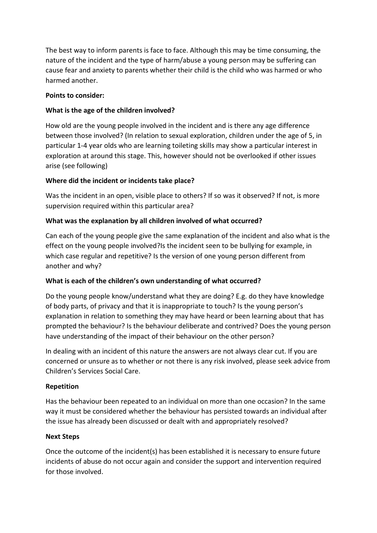The best way to inform parents is face to face. Although this may be time consuming, the nature of the incident and the type of harm/abuse a young person may be suffering can cause fear and anxiety to parents whether their child is the child who was harmed or who harmed another.

## **Points to consider:**

# **What is the age of the children involved?**

How old are the young people involved in the incident and is there any age difference between those involved? (In relation to sexual exploration, children under the age of 5, in particular 1-4 year olds who are learning toileting skills may show a particular interest in exploration at around this stage. This, however should not be overlooked if other issues arise (see following)

# **Where did the incident or incidents take place?**

Was the incident in an open, visible place to others? If so was it observed? If not, is more supervision required within this particular area?

# **What was the explanation by all children involved of what occurred?**

Can each of the young people give the same explanation of the incident and also what is the effect on the young people involved?Is the incident seen to be bullying for example, in which case regular and repetitive? Is the version of one young person different from another and why?

## **What is each of the children's own understanding of what occurred?**

Do the young people know/understand what they are doing? E.g. do they have knowledge of body parts, of privacy and that it is inappropriate to touch? Is the young person's explanation in relation to something they may have heard or been learning about that has prompted the behaviour? Is the behaviour deliberate and contrived? Does the young person have understanding of the impact of their behaviour on the other person?

In dealing with an incident of this nature the answers are not always clear cut. If you are concerned or unsure as to whether or not there is any risk involved, please seek advice from Children's Services Social Care.

## **Repetition**

Has the behaviour been repeated to an individual on more than one occasion? In the same way it must be considered whether the behaviour has persisted towards an individual after the issue has already been discussed or dealt with and appropriately resolved?

## **Next Steps**

Once the outcome of the incident(s) has been established it is necessary to ensure future incidents of abuse do not occur again and consider the support and intervention required for those involved.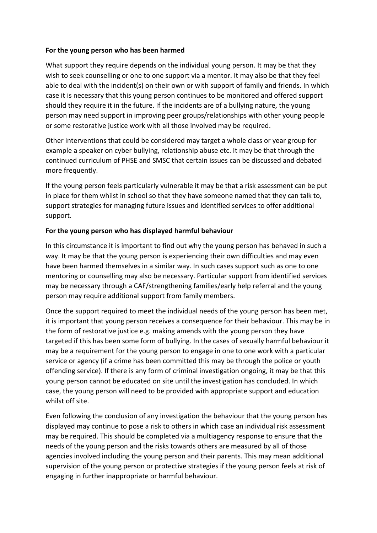#### **For the young person who has been harmed**

What support they require depends on the individual young person. It may be that they wish to seek counselling or one to one support via a mentor. It may also be that they feel able to deal with the incident(s) on their own or with support of family and friends. In which case it is necessary that this young person continues to be monitored and offered support should they require it in the future. If the incidents are of a bullying nature, the young person may need support in improving peer groups/relationships with other young people or some restorative justice work with all those involved may be required.

Other interventions that could be considered may target a whole class or year group for example a speaker on cyber bullying, relationship abuse etc. It may be that through the continued curriculum of PHSE and SMSC that certain issues can be discussed and debated more frequently.

If the young person feels particularly vulnerable it may be that a risk assessment can be put in place for them whilst in school so that they have someone named that they can talk to, support strategies for managing future issues and identified services to offer additional support.

## **For the young person who has displayed harmful behaviour**

In this circumstance it is important to find out why the young person has behaved in such a way. It may be that the young person is experiencing their own difficulties and may even have been harmed themselves in a similar way. In such cases support such as one to one mentoring or counselling may also be necessary. Particular support from identified services may be necessary through a CAF/strengthening families/early help referral and the young person may require additional support from family members.

Once the support required to meet the individual needs of the young person has been met, it is important that young person receives a consequence for their behaviour. This may be in the form of restorative justice e.g. making amends with the young person they have targeted if this has been some form of bullying. In the cases of sexually harmful behaviour it may be a requirement for the young person to engage in one to one work with a particular service or agency (if a crime has been committed this may be through the police or youth offending service). If there is any form of criminal investigation ongoing, it may be that this young person cannot be educated on site until the investigation has concluded. In which case, the young person will need to be provided with appropriate support and education whilst off site.

Even following the conclusion of any investigation the behaviour that the young person has displayed may continue to pose a risk to others in which case an individual risk assessment may be required. This should be completed via a multiagency response to ensure that the needs of the young person and the risks towards others are measured by all of those agencies involved including the young person and their parents. This may mean additional supervision of the young person or protective strategies if the young person feels at risk of engaging in further inappropriate or harmful behaviour.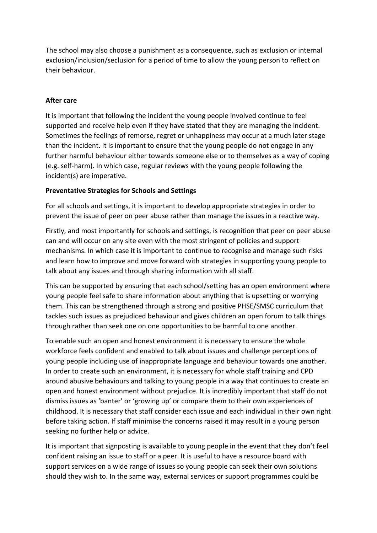The school may also choose a punishment as a consequence, such as exclusion or internal exclusion/inclusion/seclusion for a period of time to allow the young person to reflect on their behaviour.

## **After care**

It is important that following the incident the young people involved continue to feel supported and receive help even if they have stated that they are managing the incident. Sometimes the feelings of remorse, regret or unhappiness may occur at a much later stage than the incident. It is important to ensure that the young people do not engage in any further harmful behaviour either towards someone else or to themselves as a way of coping (e.g. self-harm). In which case, regular reviews with the young people following the incident(s) are imperative.

## **Preventative Strategies for Schools and Settings**

For all schools and settings, it is important to develop appropriate strategies in order to prevent the issue of peer on peer abuse rather than manage the issues in a reactive way.

Firstly, and most importantly for schools and settings, is recognition that peer on peer abuse can and will occur on any site even with the most stringent of policies and support mechanisms. In which case it is important to continue to recognise and manage such risks and learn how to improve and move forward with strategies in supporting young people to talk about any issues and through sharing information with all staff.

This can be supported by ensuring that each school/setting has an open environment where young people feel safe to share information about anything that is upsetting or worrying them. This can be strengthened through a strong and positive PHSE/SMSC curriculum that tackles such issues as prejudiced behaviour and gives children an open forum to talk things through rather than seek one on one opportunities to be harmful to one another.

To enable such an open and honest environment it is necessary to ensure the whole workforce feels confident and enabled to talk about issues and challenge perceptions of young people including use of inappropriate language and behaviour towards one another. In order to create such an environment, it is necessary for whole staff training and CPD around abusive behaviours and talking to young people in a way that continues to create an open and honest environment without prejudice. It is incredibly important that staff do not dismiss issues as 'banter' or 'growing up' or compare them to their own experiences of childhood. It is necessary that staff consider each issue and each individual in their own right before taking action. If staff minimise the concerns raised it may result in a young person seeking no further help or advice.

It is important that signposting is available to young people in the event that they don't feel confident raising an issue to staff or a peer. It is useful to have a resource board with support services on a wide range of issues so young people can seek their own solutions should they wish to. In the same way, external services or support programmes could be